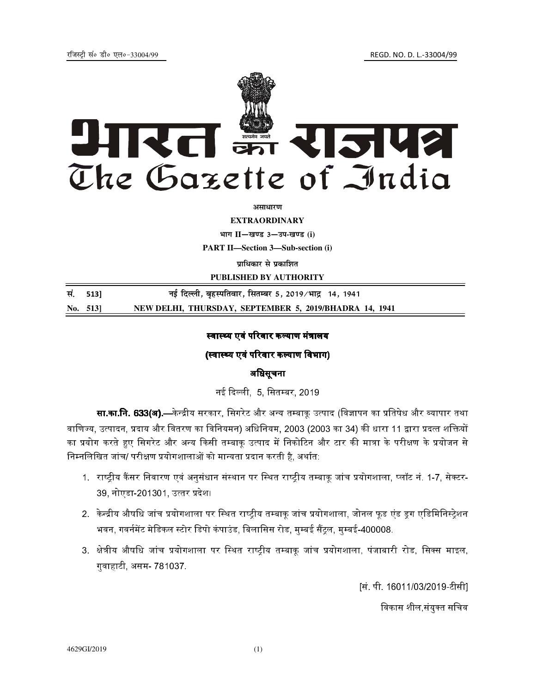

*असाधारण* 

**EXTRAORDINARY**

**Hkkx II**—**[k.M 3**—**mi**-**[k.M (i)**

**PART II—Section 3—Sub-section (i)** 

**प्राधिकार से प्रकाशित** 

**PUBLISHED BY AUTHORITY**

**la-** 513] **ubZ fnYyh] c`gLifrokj] flrEcj 5] 2019@Hkkæ 14] 1941 No. 513] NEW DELHI, THURSDAY, SEPTEMBER 5, 2019/BHADRA 14, 1941** 

# स्वास्थ्य एवं परिवार कल्याण मंत्रालय

# (स्वास्थ्य एवं परिवार कल्याण विभाग)

### अधिसूचना

नई दिल्ली, 5, सितम्बर, 2019.

**सा.का.नि. 633(अ).**—केन्द्रीय सरकार. सिगरेट और अन्य तम्बाक उत्पाद (विज्ञापन का प्रतिषेध और व्यापार तथा वाणिज्य, उत्पादन, प्रदाय और वितरण का विनियमन) अधिनियम, 2003 (2003 का 34) की धारा 11 द्वारा प्रदत्त शक्तियों का प्रयोग करते हए सिगरेट और अन्य किसी तम्बाक उत्पाद में निकोटिन और टार की मात्रा के परीक्षण के प्रयोजन से निम्नलिखित जांच/ परीक्षण प्रयोगशालाओं को मान्यता प्रदान करती है, अर्थात:

- 1. राष्टीय कैंसर निवारण एवं अनसंधान संस्थान पर स्थित राष्टीय तम्बाक जांच प्रयोगशाला. प्लॉट नं. 1-7. सेक्टर-39, नोएडा-201301, उत्तर प्रदेश।
- 2. केन्द्रीय औषधि जांच प्रयोगशाला पर स्थित राष्ट्रीय तम्बाकू जांच प्रयोगशाला, जोनल फूड एंड ड्रग एडिमिनिस्ट्रेशन भवन, गवर्नमेंट मेडिकल स्टोर डिपो कंपाउंड, बिलासिस रोड, मम्बई सैंटल, मम्बई-400008,
- 3. क्षेत्रीय औषधि जांच प्रयोगशाला पर स्थित राष्टीय तम्बाक जांच प्रयोगशाला. पंजाबारी रोड. सिक्स माइल. गुवाहाटी, असम- 781037.

[सं. पी. 16011/03/2019-टीसी]

विकास शील संयक्त सचिव